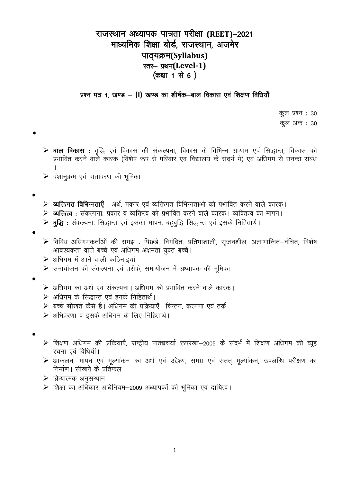## राजस्थान अध्यापक पात्रता परीक्षा (REET)-2021 माध्यमिक शिक्षा बोर्ड, राजस्थान, अजमेर पाठ्यक्रम(Syllabus) स्तर- प्रथम(Level-1) (कक्षा 1 से 5)

## प्रश्न पत्र 1, खण्ड – (I) खण्ड का शीर्षक-बाल विकास एवं शिक्षण विधियाँ

कूल प्रश्न : 30

कुल अंक : 30

- ▶ बाल विकास : वृद्धि एवं विकास की संकल्पना, विकास के विभिन्न आयाम एवं सिद्धान्त, विकास को प्रभावित करने वाले कारक (विशेष रूप से परिवार एवं विद्यालय के संदर्भ में) एवं अधिगम से उनका संबंध
- $\triangleright$  वंशानुक्रम एवं वातावरण की भूमिका

- ▶ व्यक्तिगत विभिन्नताएँ : अर्थ, प्रकार एवं व्यक्तिगत विभिन्नताओं को प्रभावित करने वाले कारक।
- **≽ व्यक्तित्व :** संकल्पना, प्रकार व व्यक्तित्व को प्रभावित करने वाले कारक। व्यक्तित्व का मापन।
- ▶ बुद्धि : संकल्पना, सिद्धान्त एवं इसका मापन, बहुबुद्धि सिद्धान्त एवं इसके निहितार्थ।
- 
- ▶ विविध अधिगमकर्ताओं की समझ : पिछडे, विमंदित, प्रतिभाशाली, सुजनशील, अलाभान्वित–वंचित, विशेष आवश्यकता वाले बच्चे एवं अधिगम अक्षमता युक्त बच्चे।
- ▶ अधिगम में आने वाली कठिनाइयॉ
- $\blacktriangleright$  समायोजन की संकल्पना एवं तरीके, समायोजन में अध्यापक की भूमिका
- 
- ▶ अधिगम का अर्थ एवं संकल्पना। अधिगम को प्रभावित करने वाले कारक।
- ▶ अधिगम के सिद्धान्त एवं इनके निहितार्थ।
- ▶ बच्चे सीखते कैसे है। अधिगम की प्रक्रियाएँ। चिन्तन, कल्पना एवं तर्क
- ▶ अभिप्रेरणा व इसके अधिगम के लिए निहितार्थ।

- ▶ शिक्षण अधिगम की प्रक्रियाएँ, राष्ट्रीय पाठ्यचर्या रूपरेखा-2005 के संदर्भ में शिक्षण अधिगम की व्यूह रचना एवं विधियाँ।
- ▶ आकलन, मापन एवं मूल्यांकन का अर्थ एवं उद्देश्य, समग्र एवं सतत् मूल्यांकन, उपलब्धि परीक्षण का निर्माण। सीखने के प्रतिफल
- $\triangleright$  क्रियात्मक अनुसन्धान
- $\triangleright$  शिक्षा का अधिकार अधिनियम-2009 अध्यापकों की भूमिका एवं दायित्व।